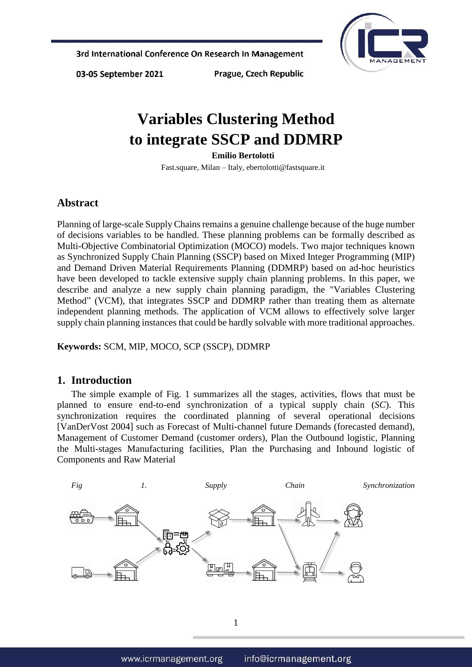

03-05 September 2021

Prague, Czech Republic

# **Variables Clustering Method to integrate SSCP and DDMRP**

**Emilio Bertolotti**

Fast.square, Milan – Italy, ebertolotti@fastsquare.it

### **Abstract**

Planning of large-scale Supply Chains remains a genuine challenge because of the huge number of decisions variables to be handled. These planning problems can be formally described as Multi-Objective Combinatorial Optimization (MOCO) models. Two major techniques known as Synchronized Supply Chain Planning (SSCP) based on Mixed Integer Programming (MIP) and Demand Driven Material Requirements Planning (DDMRP) based on ad-hoc heuristics have been developed to tackle extensive supply chain planning problems. In this paper, we describe and analyze a new supply chain planning paradigm, the "Variables Clustering Method" (VCM), that integrates SSCP and DDMRP rather than treating them as alternate independent planning methods. The application of VCM allows to effectively solve larger supply chain planning instances that could be hardly solvable with more traditional approaches.

**Keywords:** SCM, MIP, MOCO, SCP (SSCP), DDMRP

### **1. Introduction**

The simple example of Fig. 1 summarizes all the stages, activities, flows that must be planned to ensure end-to-end synchronization of a typical supply chain (*SC*). This synchronization requires the coordinated planning of several operational decisions [VanDerVost 2004] such as Forecast of Multi-channel future Demands (forecasted demand), Management of Customer Demand (customer orders), Plan the Outbound logistic, Planning the Multi-stages Manufacturing facilities, Plan the Purchasing and Inbound logistic of Components and Raw Material

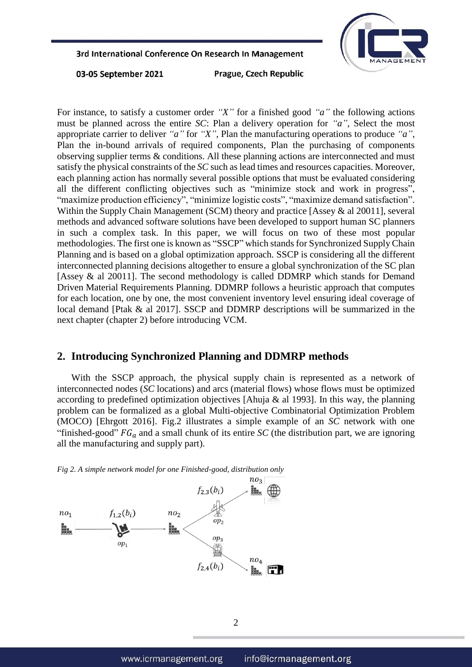

03-05 September 2021

Prague, Czech Republic

For instance, to satisfy a customer order *"X"* for a finished good *"a"* the following actions must be planned across the entire *SC*: Plan a delivery operation for *"a"*, Select the most appropriate carrier to deliver *"a"* for *"X"*, Plan the manufacturing operations to produce *"a"*, Plan the in-bound arrivals of required components, Plan the purchasing of components observing supplier terms & conditions. All these planning actions are interconnected and must satisfy the physical constraints of the *SC* such as lead times and resources capacities. Moreover, each planning action has normally several possible options that must be evaluated considering all the different conflicting objectives such as "minimize stock and work in progress", "maximize production efficiency", "minimize logistic costs", "maximize demand satisfaction". Within the Supply Chain Management (SCM) theory and practice [Assey & al 20011], several methods and advanced software solutions have been developed to support human SC planners in such a complex task. In this paper, we will focus on two of these most popular methodologies. The first one is known as "SSCP" which stands for Synchronized Supply Chain Planning and is based on a global optimization approach. SSCP is considering all the different interconnected planning decisions altogether to ensure a global synchronization of the SC plan [Assey & al 20011]. The second methodology is called DDMRP which stands for Demand Driven Material Requirements Planning. DDMRP follows a heuristic approach that computes for each location, one by one, the most convenient inventory level ensuring ideal coverage of local demand [Ptak & al 2017]. SSCP and DDMRP descriptions will be summarized in the next chapter (chapter 2) before introducing VCM.

# **2. Introducing Synchronized Planning and DDMRP methods**

With the SSCP approach, the physical supply chain is represented as a network of interconnected nodes (*SC* locations) and arcs (material flows) whose flows must be optimized according to predefined optimization objectives [Ahuja  $\&$  al 1993]. In this way, the planning problem can be formalized as a global Multi-objective Combinatorial Optimization Problem (MOCO) [Ehrgott 2016]. Fig.2 illustrates a simple example of an *SC* network with one "finished-good"  $FG_a$  and a small chunk of its entire *SC* (the distribution part, we are ignoring all the manufacturing and supply part).



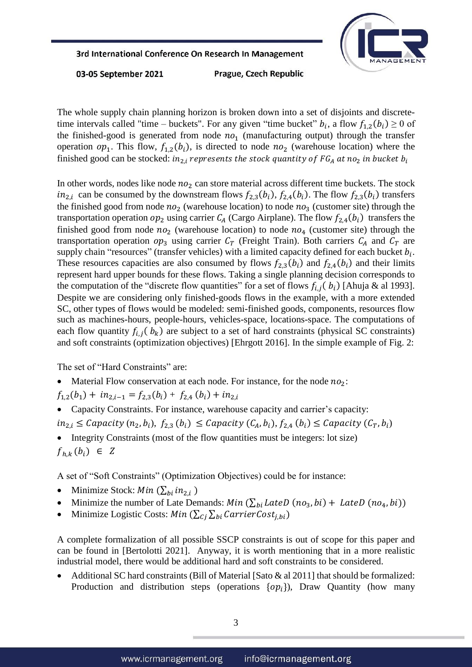

03-05 September 2021

Prague, Czech Republic

The whole supply chain planning horizon is broken down into a set of disjoints and discretetime intervals called "time – buckets". For any given "time bucket"  $b_i$ , a flow  $f_{1,2}(b_i) \ge 0$  of the finished-good is generated from node  $no_1$  (manufacturing output) through the transfer operation  $op_1$ . This flow,  $f_{1,2}(b_i)$ , is directed to node  $no_2$  (warehouse location) where the finished good can be stocked:  $in_{2,i}$  represents the stock quantity of FG<sub>A</sub> at no<sub>2</sub> in bucket  $b_i$ 

In other words, nodes like node  $n\sigma_2$  can store material across different time buckets. The stock  $in_{2,i}$  can be consumed by the downstream flows  $f_{2,3}(b_i)$ ,  $f_{2,4}(b_i)$ . The flow  $f_{2,3}(b_i)$  transfers the finished good from node  $n\sigma_2$  (warehouse location) to node  $n\sigma_3$  (customer site) through the transportation operation  $op_2$  using carrier  $C_A$  (Cargo Airplane). The flow  $f_{2,4}(b_i)$  transfers the finished good from node  $n\sigma_2$  (warehouse location) to node  $n\sigma_4$  (customer site) through the transportation operation  $op_3$  using carrier  $C_T$  (Freight Train). Both carriers  $C_A$  and  $C_T$  are supply chain "resources" (transfer vehicles) with a limited capacity defined for each bucket  $b_i$ . These resources capacities are also consumed by flows  $f_{2,3}(b_i)$  and  $f_{2,4}(b_i)$  and their limits represent hard upper bounds for these flows. Taking a single planning decision corresponds to the computation of the "discrete flow quantities" for a set of flows  $f_{i,j}$  ( $b_i$ ) [Ahuja & al 1993]. Despite we are considering only finished-goods flows in the example, with a more extended SC, other types of flows would be modeled: semi-finished goods, components, resources flow such as machines-hours, people-hours, vehicles-space, locations-space. The computations of each flow quantity  $f_{i,j}$  ( $b_k$ ) are subject to a set of hard constraints (physical SC constraints) and soft constraints (optimization objectives) [Ehrgott 2016]. In the simple example of Fig. 2:

The set of "Hard Constraints" are:

Material Flow conservation at each node. For instance, for the node  $no_2$ :

 $f_{1,2}(b_1) + in_{2,i-1} = f_{2,3}(b_i) + f_{2,4}(b_i) + in_{2,i}$ 

Capacity Constraints. For instance, warehouse capacity and carrier's capacity:

 $in_{2,i} \leq$  Capacity  $(n_2, b_i), f_{2,3}(b_i) \leq$  Capacity  $(C_A, b_i), f_{2,4}(b_i) \leq$  Capacity  $(C_T, b_i)$ 

• Integrity Constraints (most of the flow quantities must be integers: lot size)  $f_{h,k}(b_i) \in Z$ 

A set of "Soft Constraints" (Optimization Objectives) could be for instance:

- Minimize Stock:  $Min(\sum_{hi} in_{2i})$
- Minimize the number of Late Demands:  $Min(\sum_{bi} LateD(no_3, bi) + LateD(no_4, bi))$
- Minimize Logistic Costs: *Min*  $(\sum_{i} \sum_{bi} \text{CarrierCost}_{i,bi})$

A complete formalization of all possible SSCP constraints is out of scope for this paper and can be found in [Bertolotti 2021]. Anyway, it is worth mentioning that in a more realistic industrial model, there would be additional hard and soft constraints to be considered.

Additional SC hard constraints (Bill of Material [Sato & al 2011] that should be formalized: Production and distribution steps (operations  $\{op_i\}$ ), Draw Quantity (how many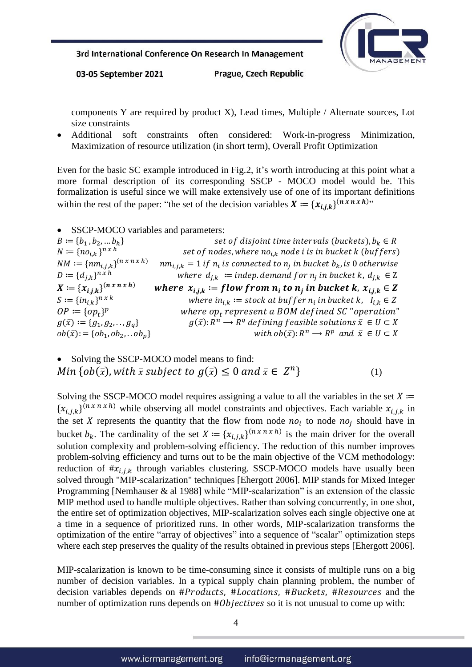

03-05 September 2021

Prague, Czech Republic

components Y are required by product X), Lead times, Multiple / Alternate sources, Lot size constraints

 Additional soft constraints often considered: Work-in-progress Minimization, Maximization of resource utilization (in short term), Overall Profit Optimization

Even for the basic SC example introduced in Fig.2, it's worth introducing at this point what a more formal description of its corresponding SSCP - MOCO model would be. This formalization is useful since we will make extensively use of one of its important definitions within the rest of the paper: "the set of the decision variables  $X := \{x_{i,j,k}\}^{(n \times n \times h)}$ "

SSCP-MOCO variables and parameters:

 $B := \{b_1, b_2, \dots b_h\}$ set of disjoint time intervals (buckets),  $b_k \in R$  $N \coloneqq \{ n o_{i,k} \}^{n \times h}$ set of nodes, where  $no_{i,k}$  node i is in bucket k (buffers)  $NM := \{nm_{i,j,k}\}^{(n \times n \times h)}$  $\left( \begin{matrix} \left( n\,x\,n\,x\,h \right) \right. & n m_{l,j,k} = 1 \text{ if } n_i \text{ is connected to } n_j \text{ in bucket } b_k \text{, is 0 otherwise} \end{matrix} \right)$  $D := \{d_{ik}\}^{n \times h}$  $h^{n \times h}$  where  $d_{j,k}$   $\coloneqq$  indep.demand for  $n_j$  in bucket k,  $d_{j,k} \in \mathbb{Z}$  $X := \{x_{i,j,k}\}^{(n \times n \times h)}$  $\mathcal{L}(n \times n \times h)$  where  $x_{i,j,k} := flow$  from  $n_i$  to  $n_j$  in bucket k,  $x_{i,j,k} \in \mathbb{Z}$  $S := \{i n_{i,k}\}^{n \times k}$  $n \times k$  where  $in_{i,k} := stock$  at buf f er  $n_i$  in bucket k,  $I_{i,k} \in Z$  $OP \coloneqq \{op_t\}$ where  $op_t$  represent a BOM defined SC "operation"  $g(\bar{x}) := \{g_1, g_2, \ldots, g_n\}$  $\overline{C}^n \longrightarrow R^q$  defining feasible solutions  $\overline{x} \in U \subset X$  $ob(\bar{x})$ : = { $ob_1, ob_2,$ ..  $ob_p$ }  $n \rightarrow R^p$  and  $\bar{x} \in U \subset X$ 

• Solving the SSCP-MOCO model means to find: Min  $\{ob(\bar{x}), with \bar{x} \text{ subject to } g(\bar{x}) \leq 0 \text{ and } \bar{x} \in Z^n\}$  (1)

Solving the SSCP-MOCO model requires assigning a value to all the variables in the set  $X \coloneqq$  ${x_{i,j,k}}^{(n \times n \times h)}$  while observing all model constraints and objectives. Each variable  $x_{i,j,k}$  in the set X represents the quantity that the flow from node  $no_i$  to node  $no_j$  should have in bucket  $b_k$ . The cardinality of the set  $X := \{x_{i,j,k}\}^{(n \times n \times h)}$  is the main driver for the overall solution complexity and problem-solving efficiency. The reduction of this number improves problem-solving efficiency and turns out to be the main objective of the VCM methodology: reduction of  $\#x_{i,j,k}$  through variables clustering. SSCP-MOCO models have usually been solved through "MIP-scalarization" techniques [Ehergott 2006]. MIP stands for Mixed Integer Programming [Nemhauser & al 1988] while "MIP-scalarization" is an extension of the classic MIP method used to handle multiple objectives. Rather than solving concurrently, in one shot, the entire set of optimization objectives, MIP-scalarization solves each single objective one at a time in a sequence of prioritized runs. In other words, MIP-scalarization transforms the optimization of the entire "array of objectives" into a sequence of "scalar" optimization steps where each step preserves the quality of the results obtained in previous steps [Ehergott 2006].

MIP-scalarization is known to be time-consuming since it consists of multiple runs on a big number of decision variables. In a typical supply chain planning problem, the number of decision variables depends on  $# Products$ ,  $#皱$ ,  $# Buckets$ ,  $# Resources$  and the number of optimization runs depends on  $# Objects$  so it is not unusual to come up with: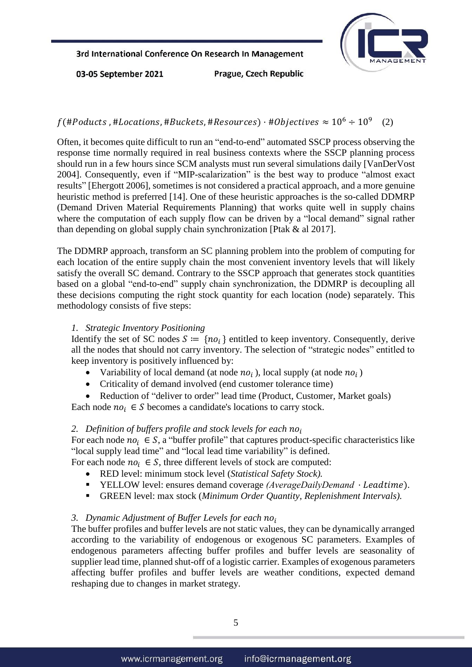

03-05 September 2021

Prague, Czech Republic

#### $f$ (#Poducts, #Locations, #Buckets, #Resources) · #Objectives  $\approx 10^6 \div 10^9$ (2)

Often, it becomes quite difficult to run an "end-to-end" automated SSCP process observing the response time normally required in real business contexts where the SSCP planning process should run in a few hours since SCM analysts must run several simulations daily [VanDerVost 2004]. Consequently, even if "MIP-scalarization" is the best way to produce "almost exact results" [Ehergott 2006], sometimes is not considered a practical approach, and a more genuine heuristic method is preferred [14]. One of these heuristic approaches is the so-called DDMRP (Demand Driven Material Requirements Planning) that works quite well in supply chains where the computation of each supply flow can be driven by a "local demand" signal rather than depending on global supply chain synchronization [Ptak & al 2017].

The DDMRP approach, transform an SC planning problem into the problem of computing for each location of the entire supply chain the most convenient inventory levels that will likely satisfy the overall SC demand. Contrary to the SSCP approach that generates stock quantities based on a global "end-to-end" supply chain synchronization, the DDMRP is decoupling all these decisions computing the right stock quantity for each location (node) separately. This methodology consists of five steps:

### *1. Strategic Inventory Positioning*

Identify the set of SC nodes  $S := \{no_i\}$  entitled to keep inventory. Consequently, derive all the nodes that should not carry inventory. The selection of "strategic nodes" entitled to keep inventory is positively influenced by:

- Variability of local demand (at node  $no_i$  ), local supply (at node  $no_i$  )
- Criticality of demand involved (end customer tolerance time)
- Reduction of "deliver to order" lead time (Product, Customer, Market goals)

Each node  $no_i \in S$  becomes a candidate's locations to carry stock.

#### *2. Definition of buffers profile and stock levels for each*

For each node  $no_i \in S$ , a "buffer profile" that captures product-specific characteristics like "local supply lead time" and "local lead time variability" is defined.

For each node  $no_i \in S$ , three different levels of stock are computed:

- RED level: minimum stock level (*Statistical Safety Stock).*
- YELLOW level: ensures demand coverage *(AverageDailyDemand · Leadtime)*.
- GREEN level: max stock (*Minimum Order Quantity, Replenishment Intervals).*

### *3. Dynamic Adjustment of Buffer Levels for each*

The buffer profiles and buffer levels are not static values, they can be dynamically arranged according to the variability of endogenous or exogenous SC parameters. Examples of endogenous parameters affecting buffer profiles and buffer levels are seasonality of supplier lead time, planned shut-off of a logistic carrier. Examples of exogenous parameters affecting buffer profiles and buffer levels are weather conditions, expected demand reshaping due to changes in market strategy.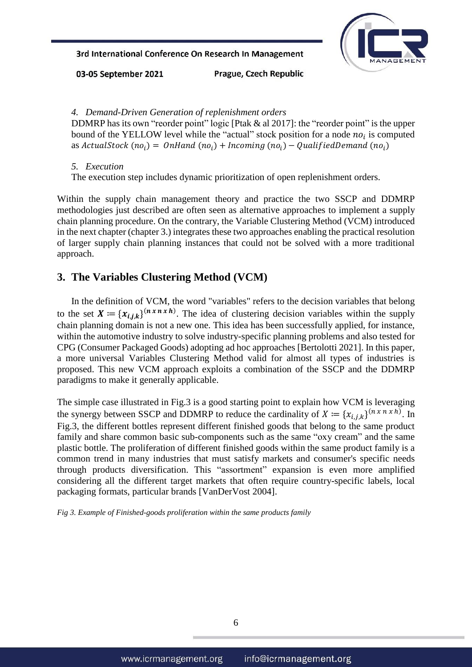

03-05 September 2021

Prague, Czech Republic

*4. Demand-Driven Generation of replenishment orders*

DDMRP has its own "reorder point" logic [Ptak & al 2017]: the "reorder point" is the upper bound of the YELLOW level while the "actual" stock position for a node  $no_i$  is computed as ActualStock (no<sub>i</sub>) =  $\mathit{OnHand}\ (no_i) + Incoming\ (no_i) - Qualified Demand\ (no_i)$ 

*5. Execution*

The execution step includes dynamic prioritization of open replenishment orders.

Within the supply chain management theory and practice the two SSCP and DDMRP methodologies just described are often seen as alternative approaches to implement a supply chain planning procedure. On the contrary, the Variable Clustering Method (VCM) introduced in the next chapter (chapter 3.) integrates these two approaches enabling the practical resolution of larger supply chain planning instances that could not be solved with a more traditional approach.

# **3. The Variables Clustering Method (VCM)**

In the definition of VCM, the word "variables" refers to the decision variables that belong to the set  $X = \{x_{i,j,k}\}^{(n \times n \times h)}$ . The idea of clustering decision variables within the supply chain planning domain is not a new one. This idea has been successfully applied, for instance, within the automotive industry to solve industry-specific planning problems and also tested for CPG (Consumer Packaged Goods) adopting ad hoc approaches [Bertolotti 2021]. In this paper, a more universal Variables Clustering Method valid for almost all types of industries is proposed. This new VCM approach exploits a combination of the SSCP and the DDMRP paradigms to make it generally applicable.

The simple case illustrated in Fig.3 is a good starting point to explain how VCM is leveraging the synergy between SSCP and DDMRP to reduce the cardinality of  $X := \{x_{i,j,k}\}^{(n \times n \times h)}$ . In Fig.3, the different bottles represent different finished goods that belong to the same product family and share common basic sub-components such as the same "oxy cream" and the same plastic bottle. The proliferation of different finished goods within the same product family is a common trend in many industries that must satisfy markets and consumer's specific needs through products diversification. This "assortment" expansion is even more amplified considering all the different target markets that often require country-specific labels, local packaging formats, particular brands [VanDerVost 2004].

*Fig 3. Example of Finished-goods proliferation within the same products family*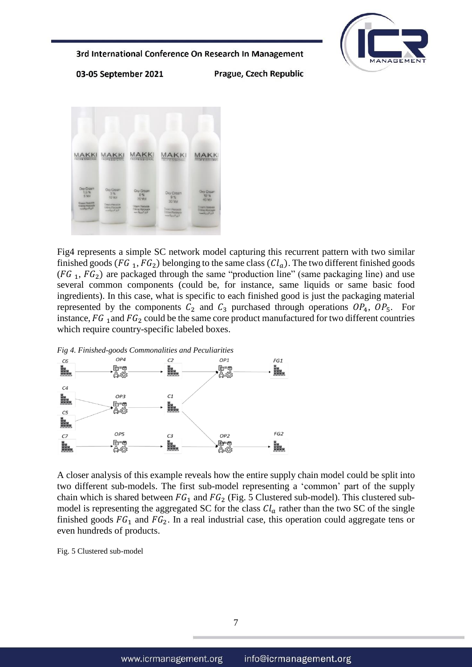

03-05 September 2021

Prague, Czech Republic



Fig4 represents a simple SC network model capturing this recurrent pattern with two similar finished goods (FG<sub>1</sub>, FG<sub>2</sub>) belonging to the same class ( $Cl<sub>a</sub>$ ). The two different finished goods  $(FG_1, FG_2)$  are packaged through the same "production line" (same packaging line) and use several common components (could be, for instance, same liquids or same basic food ingredients). In this case, what is specific to each finished good is just the packaging material represented by the components  $C_2$  and  $C_3$  purchased through operations  $OP_4$ ,  $OP_5$ . For instance,  $FG_1$  and  $FG_2$  could be the same core product manufactured for two different countries which require country-specific labeled boxes.



A closer analysis of this example reveals how the entire supply chain model could be split into two different sub-models. The first sub-model representing a 'common' part of the supply chain which is shared between  $FG_1$  and  $FG_2$  (Fig. 5 Clustered sub-model). This clustered submodel is representing the aggregated SC for the class  $Cl_a$  rather than the two SC of the single finished goods  $FG_1$  and  $FG_2$ . In a real industrial case, this operation could aggregate tens or even hundreds of products.

Fig. 5 Clustered sub-model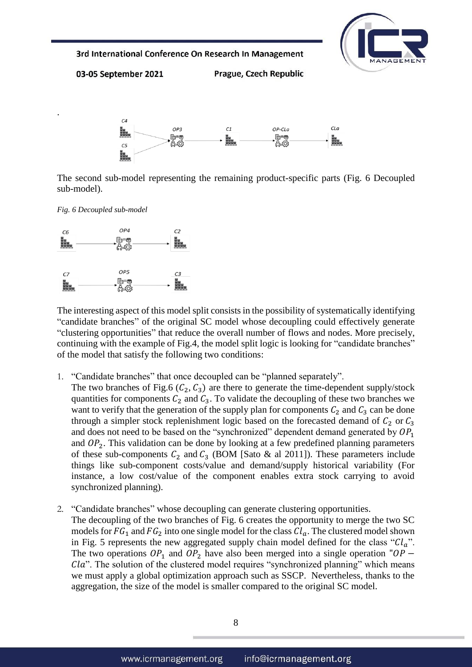

03-05 September 2021

Prague, Czech Republic



The second sub-model representing the remaining product-specific parts (Fig. 6 Decoupled sub-model).

*Fig. 6 Decoupled sub-model*

.



The interesting aspect of this model split consists in the possibility of systematically identifying "candidate branches" of the original SC model whose decoupling could effectively generate "clustering opportunities" that reduce the overall number of flows and nodes. More precisely, continuing with the example of Fig.4, the model split logic is looking for "candidate branches" of the model that satisfy the following two conditions:

1. "Candidate branches" that once decoupled can be "planned separately".

The two branches of Fig.6 ( $C_2$ ,  $C_3$ ) are there to generate the time-dependent supply/stock quantities for components  $C_2$  and  $C_3$ . To validate the decoupling of these two branches we want to verify that the generation of the supply plan for components  $C_2$  and  $C_3$  can be done through a simpler stock replenishment logic based on the forecasted demand of  $C_2$  or  $C_3$ and does not need to be based on the "synchronized" dependent demand generated by  $OP_1$ and  $OP<sub>2</sub>$ . This validation can be done by looking at a few predefined planning parameters of these sub-components  $C_2$  and  $C_3$  (BOM [Sato & al 2011]). These parameters include things like sub-component costs/value and demand/supply historical variability (For instance, a low cost/value of the component enables extra stock carrying to avoid synchronized planning).

2. "Candidate branches" whose decoupling can generate clustering opportunities. The decoupling of the two branches of Fig. 6 creates the opportunity to merge the two SC models for  $FG_1$  and  $FG_2$  into one single model for the class  $Cl_a$ . The clustered model shown in Fig. 5 represents the new aggregated supply chain model defined for the class " $Cl_a$ ". The two operations  $OP_1$  and  $OP_2$  have also been merged into a single operation " $OP -$ Cla". The solution of the clustered model requires "synchronized planning" which means we must apply a global optimization approach such as SSCP. Nevertheless, thanks to the aggregation, the size of the model is smaller compared to the original SC model.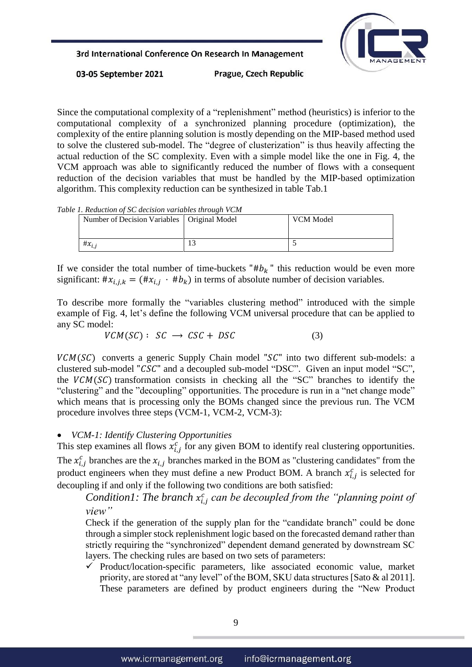

03-05 September 2021

Prague, Czech Republic

Since the computational complexity of a "replenishment" method (heuristics) is inferior to the computational complexity of a synchronized planning procedure (optimization), the complexity of the entire planning solution is mostly depending on the MIP-based method used to solve the clustered sub-model. The "degree of clusterization" is thus heavily affecting the actual reduction of the SC complexity. Even with a simple model like the one in Fig. 4, the VCM approach was able to significantly reduced the number of flows with a consequent reduction of the decision variables that must be handled by the MIP-based optimization algorithm. This complexity reduction can be synthesized in table Tab.1

*Table 1. Reduction of SC decision variables through VCM*

| Number of Decision Variables   Original Model |     | VCM Model |
|-----------------------------------------------|-----|-----------|
|                                               |     |           |
| # $x_{i,j}$                                   | ⊥ J |           |

If we consider the total number of time-buckets " $# b_k$ " this reduction would be even more significant:  $\#x_{i,j,k} = (\#x_{i,j} \cdot \#b_k)$  in terms of absolute number of decision variables.

To describe more formally the "variables clustering method" introduced with the simple example of Fig. 4, let's define the following VCM universal procedure that can be applied to any SC model:

$$
VCM(SC): SC \rightarrow CSC + DSC \tag{3}
$$

 $VCM(SC)$  converts a generic Supply Chain model " $SC$ " into two different sub-models: a clustered sub-model "CSC" and a decoupled sub-model "DSC". Given an input model "SC", the  $VCM(SC)$  transformation consists in checking all the "SC" branches to identify the "clustering" and the "decoupling" opportunities. The procedure is run in a "net change mode" which means that is processing only the BOMs changed since the previous run. The VCM procedure involves three steps (VCM-1, VCM-2, VCM-3):

### *VCM-1: Identify Clustering Opportunities*

This step examines all flows  $x_{i,j}^c$  for any given BOM to identify real clustering opportunities. The  $x_{i,j}^c$  branches are the  $x_{i,j}$  branches marked in the BOM as "clustering candidates" from the product engineers when they must define a new Product BOM. A branch  $x_{i,j}^c$  is selected for decoupling if and only if the following two conditions are both satisfied:

Condition1: The branch  $x_{i,j}^c$  can be decoupled from the "planning point of *view"*

Check if the generation of the supply plan for the "candidate branch" could be done through a simpler stock replenishment logic based on the forecasted demand rather than strictly requiring the "synchronized" dependent demand generated by downstream SC layers. The checking rules are based on two sets of parameters:

 $\checkmark$  Product/location-specific parameters, like associated economic value, market priority, are stored at "any level" of the BOM, SKU data structures [Sato & al 2011]. These parameters are defined by product engineers during the "New Product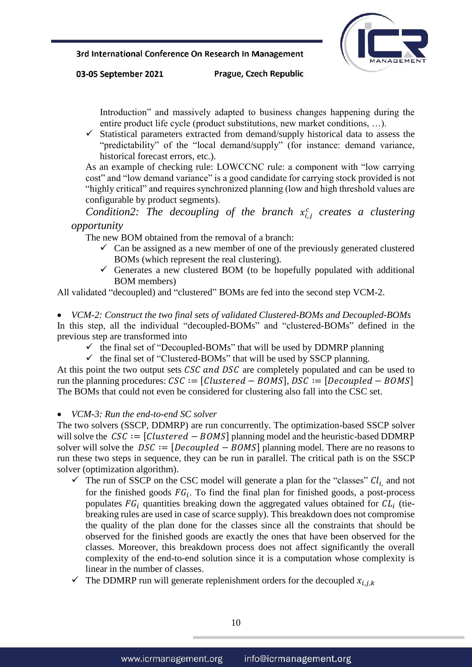

03-05 September 2021

Prague, Czech Republic

Introduction" and massively adapted to business changes happening during the entire product life cycle (product substitutions, new market conditions, …).

 $\checkmark$  Statistical parameters extracted from demand/supply historical data to assess the "predictability" of the "local demand/supply" (for instance: demand variance, historical forecast errors, etc.).

As an example of checking rule: LOWCCNC rule: a component with "low carrying cost" and "low demand variance" is a good candidate for carrying stock provided is not "highly critical" and requires synchronized planning (low and high threshold values are configurable by product segments).

*Condition2: The decoupling of the branch*  $x_{i,j}^c$  creates a clustering *opportunity*

The new BOM obtained from the removal of a branch:

- $\checkmark$  Can be assigned as a new member of one of the previously generated clustered BOMs (which represent the real clustering).
- Generates a new clustered BOM (to be hopefully populated with additional BOM members)

All validated "decoupled) and "clustered" BOMs are fed into the second step VCM-2.

 *VCM-2: Construct the two final sets of validated Clustered-BOMs and Decoupled-BOMs* In this step, all the individual "decoupled-BOMs" and "clustered-BOMs" defined in the previous step are transformed into

- $\checkmark$  the final set of "Decoupled-BOMs" that will be used by DDMRP planning
- $\checkmark$  the final set of "Clustered-BOMs" that will be used by SSCP planning.

At this point the two output sets  $\mathcal{L} S\mathcal{L}$  and  $\mathcal{D} S\mathcal{L}$  are completely populated and can be used to run the planning procedures:  $\mathcal{L}\mathcal{S}\mathcal{L} := [\mathcal{C} \mathcal{L} \mathcal{L} \mathcal{L} \mathcal{S} - \mathcal{L} \mathcal{S} \mathcal{L} \mathcal{S}]$ ,  $\mathcal{D}\mathcal{S}\mathcal{L} := [\mathcal{D} \mathcal{C} \mathcal{S} \mathcal{L} \mathcal{S} - \mathcal{B} \mathcal{S} \mathcal{S}]$ The BOMs that could not even be considered for clustering also fall into the CSC set.

*VCM-3: Run the end-to-end SC solver*

The two solvers (SSCP, DDMRP) are run concurrently. The optimization-based SSCP solver will solve the  $CSC := [Clustered - BOMS]$  planning model and the heuristic-based DDMRP solver will solve the  $DSC := [Decoupled - BOMS]$  planning model. There are no reasons to run these two steps in sequence, they can be run in parallel. The critical path is on the SSCP solver (optimization algorithm).

- $\checkmark$  The run of SSCP on the CSC model will generate a plan for the "classes"  $Cl_{i}$  and not for the finished goods  $FG_i$ . To find the final plan for finished goods, a post-process populates  $FG_i$  quantities breaking down the aggregated values obtained for  $CL_i$  (tiebreaking rules are used in case of scarce supply). This breakdown does not compromise the quality of the plan done for the classes since all the constraints that should be observed for the finished goods are exactly the ones that have been observed for the classes. Moreover, this breakdown process does not affect significantly the overall complexity of the end-to-end solution since it is a computation whose complexity is linear in the number of classes.
- $\checkmark$  The DDMRP run will generate replenishment orders for the decoupled  $x_{i,j,k}$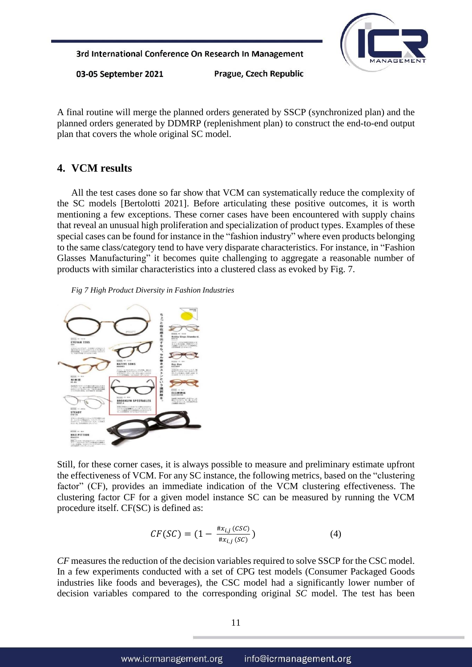

03-05 September 2021

Prague, Czech Republic

A final routine will merge the planned orders generated by SSCP (synchronized plan) and the planned orders generated by DDMRP (replenishment plan) to construct the end-to-end output plan that covers the whole original SC model.

# **4. VCM results**

All the test cases done so far show that VCM can systematically reduce the complexity of the SC models [Bertolotti 2021]. Before articulating these positive outcomes, it is worth mentioning a few exceptions. These corner cases have been encountered with supply chains that reveal an unusual high proliferation and specialization of product types. Examples of these special cases can be found for instance in the "fashion industry" where even products belonging to the same class/category tend to have very disparate characteristics. For instance, in "Fashion Glasses Manufacturing" it becomes quite challenging to aggregate a reasonable number of products with similar characteristics into a clustered class as evoked by Fig. 7.

*Fig 7 High Product Diversity in Fashion Industries*



Still, for these corner cases, it is always possible to measure and preliminary estimate upfront the effectiveness of VCM. For any SC instance, the following metrics, based on the "clustering factor" (CF), provides an immediate indication of the VCM clustering effectiveness. The clustering factor CF for a given model instance SC can be measured by running the VCM procedure itself. CF(SC) is defined as:

$$
CF(SC) = (1 - \frac{\#x_{i,j}(CSC)}{\#x_{i,j}(SC)})
$$
\n(4)

*CF* measures the reduction of the decision variables required to solve SSCP for the CSC model. In a few experiments conducted with a set of CPG test models (Consumer Packaged Goods industries like foods and beverages), the CSC model had a significantly lower number of decision variables compared to the corresponding original *SC* model. The test has been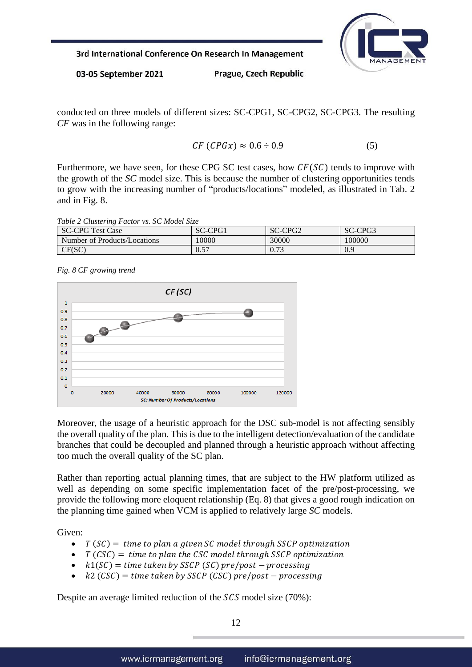

03-05 September 2021

Prague, Czech Republic

conducted on three models of different sizes: SC-CPG1, SC-CPG2, SC-CPG3. The resulting *CF* was in the following range:

$$
CF(CPGx) \approx 0.6 \div 0.9 \tag{5}
$$

Furthermore, we have seen, for these CPG SC test cases, how  $CF(SC)$  tends to improve with the growth of the *SC* model size. This is because the number of clustering opportunities tends to grow with the increasing number of "products/locations" modeled, as illustrated in Tab. 2 and in Fig. 8.

| Table 2 Clustering Factor vs. SC Model Size |  |
|---------------------------------------------|--|
|---------------------------------------------|--|

| SC-<br>-CPG T<br>est<br>Case<br>-1 | CDC<br>$\sim$<br>-1<br>TU.<br>- JC | CDG2<br>$\sim$<br>'U∠<br>JU. | CPG3<br>$\sim$<br>SĆ<br>-1     |
|------------------------------------|------------------------------------|------------------------------|--------------------------------|
| of Products/Locations<br>Number of | 0000                               | 30000                        | 100000                         |
| CF(SC)<br>◡⊥                       | 0.57<br>∪.⊃                        | .72<br>V. 73                 | $\Omega$<br>$\mathbf C$<br>v.s |

*Fig. 8 CF growing trend* 



Moreover, the usage of a heuristic approach for the DSC sub-model is not affecting sensibly the overall quality of the plan. This is due to the intelligent detection/evaluation of the candidate branches that could be decoupled and planned through a heuristic approach without affecting too much the overall quality of the SC plan.

Rather than reporting actual planning times, that are subject to the HW platform utilized as well as depending on some specific implementation facet of the pre/post-processing, we provide the following more eloquent relationship (Eq. 8) that gives a good rough indication on the planning time gained when VCM is applied to relatively large *SC* models.

Given:

- $T(SC) =$  time to plan a given SC model through SSCP optimization
- $\bullet$   $T(CSC) =$  time to plan the CSC model through SSCP optimization
- $k1(SC) =$  time taken by SSCP (SC) pre/post processing
- $k2 (CSC) =$  time taken by SSCP (CSC) pre/post processing

Despite an average limited reduction of the  $SCS$  model size (70%):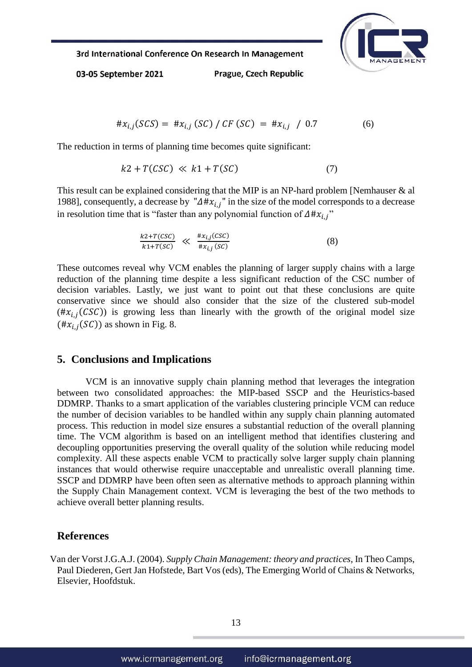

03-05 September 2021

Prague, Czech Republic

$$
\#x_{i,j}(SCS) = \#x_{i,j}(SC) / CF (SC) = \#x_{i,j} / 0.7
$$
 (6)

The reduction in terms of planning time becomes quite significant:

$$
k2 + T(CSC) \ll k1 + T(SC) \tag{7}
$$

This result can be explained considering that the MIP is an NP-hard problem [Nemhauser & al 1988], consequently, a decrease by " $\Delta \# x_{i,j}$ " in the size of the model corresponds to a decrease in resolution time that is "faster than any polynomial function of  $\Delta \mu x_{i}$ "

$$
\frac{k2+T(CSC)}{k1+T(SC)} \ll \frac{\#x_{i,j}(CSC)}{\#x_{i,j}(SC)}
$$
\n(8)

These outcomes reveal why VCM enables the planning of larger supply chains with a large reduction of the planning time despite a less significant reduction of the CSC number of decision variables. Lastly, we just want to point out that these conclusions are quite conservative since we should also consider that the size of the clustered sub-model  $(\#x_{i,j}(CSC))$  is growing less than linearly with the growth of the original model size  $(\#x_{i,j}(SC))$  as shown in Fig. 8.

#### **5. Conclusions and Implications**

VCM is an innovative supply chain planning method that leverages the integration between two consolidated approaches: the MIP-based SSCP and the Heuristics-based DDMRP. Thanks to a smart application of the variables clustering principle VCM can reduce the number of decision variables to be handled within any supply chain planning automated process. This reduction in model size ensures a substantial reduction of the overall planning time. The VCM algorithm is based on an intelligent method that identifies clustering and decoupling opportunities preserving the overall quality of the solution while reducing model complexity. All these aspects enable VCM to practically solve larger supply chain planning instances that would otherwise require unacceptable and unrealistic overall planning time. SSCP and DDMRP have been often seen as alternative methods to approach planning within the Supply Chain Management context. VCM is leveraging the best of the two methods to achieve overall better planning results.

#### **References**

Van der Vorst J.G.A.J. (2004). *Supply Chain Management: theory and practices*, In Theo Camps, Paul Diederen, Gert Jan Hofstede, Bart Vos (eds), The Emerging World of Chains & Networks, Elsevier, Hoofdstuk.